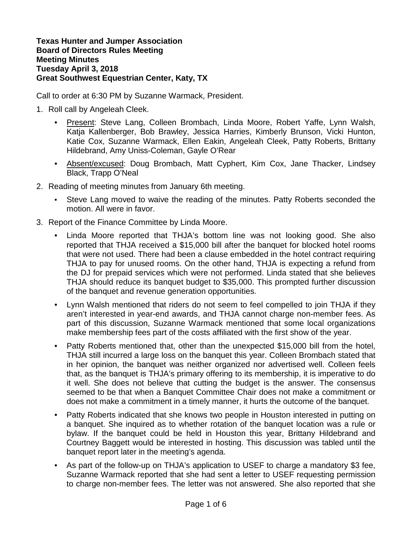## **Texas Hunter and Jumper Association Board of Directors Rules Meeting Meeting Minutes Tuesday April 3, 2018 Great Southwest Equestrian Center, Katy, TX**

Call to order at 6:30 PM by Suzanne Warmack, President.

- 1. Roll call by Angeleah Cleek.
	- Present: Steve Lang, Colleen Brombach, Linda Moore, Robert Yaffe, Lynn Walsh, Katja Kallenberger, Bob Brawley, Jessica Harries, Kimberly Brunson, Vicki Hunton, Katie Cox, Suzanne Warmack, Ellen Eakin, Angeleah Cleek, Patty Roberts, Brittany Hildebrand, Amy Uniss-Coleman, Gayle O'Rear
	- Absent/excused: Doug Brombach, Matt Cyphert, Kim Cox, Jane Thacker, Lindsey Black, Trapp O'Neal
- 2. Reading of meeting minutes from January 6th meeting.
	- Steve Lang moved to waive the reading of the minutes. Patty Roberts seconded the motion. All were in favor.
- 3. Report of the Finance Committee by Linda Moore.
	- Linda Moore reported that THJA's bottom line was not looking good. She also reported that THJA received a \$15,000 bill after the banquet for blocked hotel rooms that were not used. There had been a clause embedded in the hotel contract requiring THJA to pay for unused rooms. On the other hand, THJA is expecting a refund from the DJ for prepaid services which were not performed. Linda stated that she believes THJA should reduce its banquet budget to \$35,000. This prompted further discussion of the banquet and revenue generation opportunities.
	- Lynn Walsh mentioned that riders do not seem to feel compelled to join THJA if they aren't interested in year-end awards, and THJA cannot charge non-member fees. As part of this discussion, Suzanne Warmack mentioned that some local organizations make membership fees part of the costs affiliated with the first show of the year.
	- Patty Roberts mentioned that, other than the unexpected \$15,000 bill from the hotel, THJA still incurred a large loss on the banquet this year. Colleen Brombach stated that in her opinion, the banquet was neither organized nor advertised well. Colleen feels that, as the banquet is THJA's primary offering to its membership, it is imperative to do it well. She does not believe that cutting the budget is the answer. The consensus seemed to be that when a Banquet Committee Chair does not make a commitment or does not make a commitment in a timely manner, it hurts the outcome of the banquet.
	- Patty Roberts indicated that she knows two people in Houston interested in putting on a banquet. She inquired as to whether rotation of the banquet location was a rule or bylaw. If the banquet could be held in Houston this year, Brittany Hildebrand and Courtney Baggett would be interested in hosting. This discussion was tabled until the banquet report later in the meeting's agenda.
	- As part of the follow-up on THJA's application to USEF to charge a mandatory \$3 fee, Suzanne Warmack reported that she had sent a letter to USEF requesting permission to charge non-member fees. The letter was not answered. She also reported that she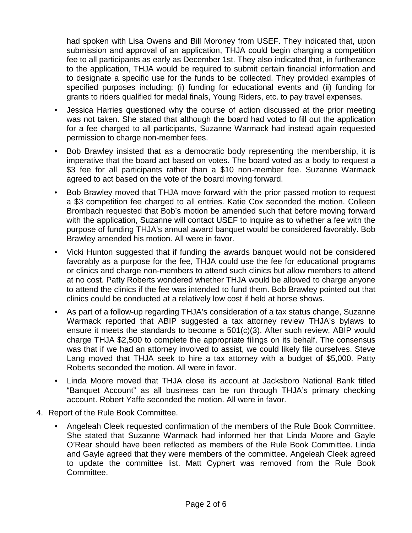had spoken with Lisa Owens and Bill Moroney from USEF. They indicated that, upon submission and approval of an application, THJA could begin charging a competition fee to all participants as early as December 1st. They also indicated that, in furtherance to the application, THJA would be required to submit certain financial information and to designate a specific use for the funds to be collected. They provided examples of specified purposes including: (i) funding for educational events and (ii) funding for grants to riders qualified for medal finals, Young Riders, etc. to pay travel expenses.

- Jessica Harries questioned why the course of action discussed at the prior meeting was not taken. She stated that although the board had voted to fill out the application for a fee charged to all participants, Suzanne Warmack had instead again requested permission to charge non-member fees.
- Bob Brawley insisted that as a democratic body representing the membership, it is imperative that the board act based on votes. The board voted as a body to request a \$3 fee for all participants rather than a \$10 non-member fee. Suzanne Warmack agreed to act based on the vote of the board moving forward.
- Bob Brawley moved that THJA move forward with the prior passed motion to request a \$3 competition fee charged to all entries. Katie Cox seconded the motion. Colleen Brombach requested that Bob's motion be amended such that before moving forward with the application, Suzanne will contact USEF to inquire as to whether a fee with the purpose of funding THJA's annual award banquet would be considered favorably. Bob Brawley amended his motion. All were in favor.
- Vicki Hunton suggested that if funding the awards banquet would not be considered favorably as a purpose for the fee, THJA could use the fee for educational programs or clinics and charge non-members to attend such clinics but allow members to attend at no cost. Patty Roberts wondered whether THJA would be allowed to charge anyone to attend the clinics if the fee was intended to fund them. Bob Brawley pointed out that clinics could be conducted at a relatively low cost if held at horse shows.
- As part of a follow-up regarding THJA's consideration of a tax status change, Suzanne Warmack reported that ABIP suggested a tax attorney review THJA's bylaws to ensure it meets the standards to become a 501(c)(3). After such review, ABIP would charge THJA \$2,500 to complete the appropriate filings on its behalf. The consensus was that if we had an attorney involved to assist, we could likely file ourselves. Steve Lang moved that THJA seek to hire a tax attorney with a budget of \$5,000. Patty Roberts seconded the motion. All were in favor.
- Linda Moore moved that THJA close its account at Jacksboro National Bank titled "Banquet Account" as all business can be run through THJA's primary checking account. Robert Yaffe seconded the motion. All were in favor.
- 4. Report of the Rule Book Committee.
	- Angeleah Cleek requested confirmation of the members of the Rule Book Committee. She stated that Suzanne Warmack had informed her that Linda Moore and Gayle O'Rear should have been reflected as members of the Rule Book Committee. Linda and Gayle agreed that they were members of the committee. Angeleah Cleek agreed to update the committee list. Matt Cyphert was removed from the Rule Book Committee.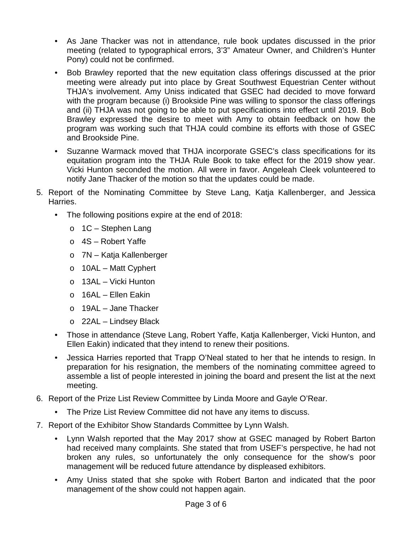- As Jane Thacker was not in attendance, rule book updates discussed in the prior meeting (related to typographical errors, 3'3" Amateur Owner, and Children's Hunter Pony) could not be confirmed.
- Bob Brawley reported that the new equitation class offerings discussed at the prior meeting were already put into place by Great Southwest Equestrian Center without THJA's involvement. Amy Uniss indicated that GSEC had decided to move forward with the program because (i) Brookside Pine was willing to sponsor the class offerings and (ii) THJA was not going to be able to put specifications into effect until 2019. Bob Brawley expressed the desire to meet with Amy to obtain feedback on how the program was working such that THJA could combine its efforts with those of GSEC and Brookside Pine.
- Suzanne Warmack moved that THJA incorporate GSEC's class specifications for its equitation program into the THJA Rule Book to take effect for the 2019 show year. Vicki Hunton seconded the motion. All were in favor. Angeleah Cleek volunteered to notify Jane Thacker of the motion so that the updates could be made.
- 5. Report of the Nominating Committee by Steve Lang, Katja Kallenberger, and Jessica Harries.
	- The following positions expire at the end of 2018:
		- o 1C Stephen Lang
		- $\circ$  4S Robert Yaffe
		- o 7N Katja Kallenberger
		- o 10AL Matt Cyphert
		- o 13AL Vicki Hunton
		- o 16AL Ellen Eakin
		- o 19AL Jane Thacker
		- o 22AL Lindsey Black
	- Those in attendance (Steve Lang, Robert Yaffe, Katja Kallenberger, Vicki Hunton, and Ellen Eakin) indicated that they intend to renew their positions.
	- Jessica Harries reported that Trapp O'Neal stated to her that he intends to resign. In preparation for his resignation, the members of the nominating committee agreed to assemble a list of people interested in joining the board and present the list at the next meeting.
- 6. Report of the Prize List Review Committee by Linda Moore and Gayle O'Rear.
	- The Prize List Review Committee did not have any items to discuss.
- 7. Report of the Exhibitor Show Standards Committee by Lynn Walsh.
	- Lynn Walsh reported that the May 2017 show at GSEC managed by Robert Barton had received many complaints. She stated that from USEF's perspective, he had not broken any rules, so unfortunately the only consequence for the show's poor management will be reduced future attendance by displeased exhibitors.
	- Amy Uniss stated that she spoke with Robert Barton and indicated that the poor management of the show could not happen again.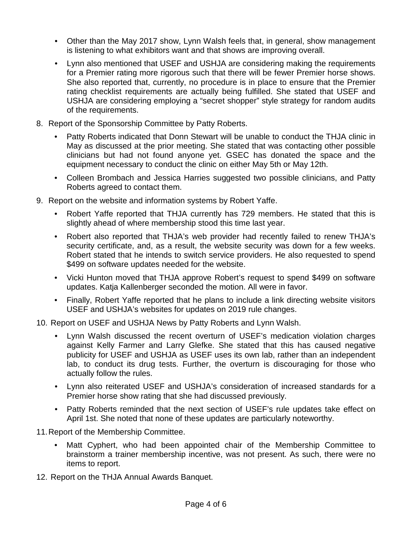- Other than the May 2017 show, Lynn Walsh feels that, in general, show management is listening to what exhibitors want and that shows are improving overall.
- Lynn also mentioned that USEF and USHJA are considering making the requirements for a Premier rating more rigorous such that there will be fewer Premier horse shows. She also reported that, currently, no procedure is in place to ensure that the Premier rating checklist requirements are actually being fulfilled. She stated that USEF and USHJA are considering employing a "secret shopper" style strategy for random audits of the requirements.
- 8. Report of the Sponsorship Committee by Patty Roberts.
	- Patty Roberts indicated that Donn Stewart will be unable to conduct the THJA clinic in May as discussed at the prior meeting. She stated that was contacting other possible clinicians but had not found anyone yet. GSEC has donated the space and the equipment necessary to conduct the clinic on either May 5th or May 12th.
	- Colleen Brombach and Jessica Harries suggested two possible clinicians, and Patty Roberts agreed to contact them.
- 9. Report on the website and information systems by Robert Yaffe.
	- Robert Yaffe reported that THJA currently has 729 members. He stated that this is slightly ahead of where membership stood this time last year.
	- Robert also reported that THJA's web provider had recently failed to renew THJA's security certificate, and, as a result, the website security was down for a few weeks. Robert stated that he intends to switch service providers. He also requested to spend \$499 on software updates needed for the website.
	- Vicki Hunton moved that THJA approve Robert's request to spend \$499 on software updates. Katja Kallenberger seconded the motion. All were in favor.
	- Finally, Robert Yaffe reported that he plans to include a link directing website visitors USEF and USHJA's websites for updates on 2019 rule changes.
- 10. Report on USEF and USHJA News by Patty Roberts and Lynn Walsh.
	- Lynn Walsh discussed the recent overturn of USEF's medication violation charges against Kelly Farmer and Larry Glefke. She stated that this has caused negative publicity for USEF and USHJA as USEF uses its own lab, rather than an independent lab, to conduct its drug tests. Further, the overturn is discouraging for those who actually follow the rules.
	- Lynn also reiterated USEF and USHJA's consideration of increased standards for a Premier horse show rating that she had discussed previously.
	- Patty Roberts reminded that the next section of USEF's rule updates take effect on April 1st. She noted that none of these updates are particularly noteworthy.
- 11.Report of the Membership Committee.
	- Matt Cyphert, who had been appointed chair of the Membership Committee to brainstorm a trainer membership incentive, was not present. As such, there were no items to report.
- 12. Report on the THJA Annual Awards Banquet.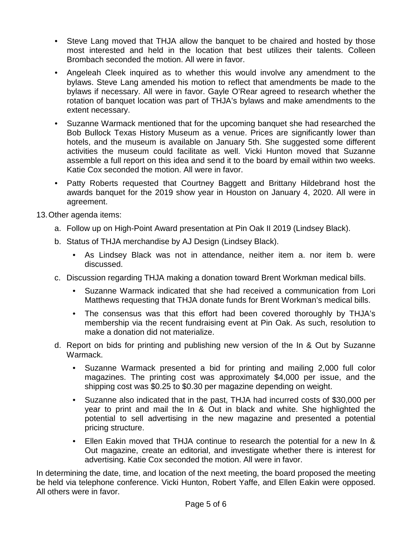- Steve Lang moved that THJA allow the banquet to be chaired and hosted by those most interested and held in the location that best utilizes their talents. Colleen Brombach seconded the motion. All were in favor.
- Angeleah Cleek inquired as to whether this would involve any amendment to the bylaws. Steve Lang amended his motion to reflect that amendments be made to the bylaws if necessary. All were in favor. Gayle O'Rear agreed to research whether the rotation of banquet location was part of THJA's bylaws and make amendments to the extent necessary.
- Suzanne Warmack mentioned that for the upcoming banquet she had researched the Bob Bullock Texas History Museum as a venue. Prices are significantly lower than hotels, and the museum is available on January 5th. She suggested some different activities the museum could facilitate as well. Vicki Hunton moved that Suzanne assemble a full report on this idea and send it to the board by email within two weeks. Katie Cox seconded the motion. All were in favor.
- Patty Roberts requested that Courtney Baggett and Brittany Hildebrand host the awards banquet for the 2019 show year in Houston on January 4, 2020. All were in agreement.

13.Other agenda items:

- a. Follow up on High-Point Award presentation at Pin Oak II 2019 (Lindsey Black).
- b. Status of THJA merchandise by AJ Design (Lindsey Black).
	- As Lindsey Black was not in attendance, neither item a. nor item b. were discussed.
- c. Discussion regarding THJA making a donation toward Brent Workman medical bills.
	- Suzanne Warmack indicated that she had received a communication from Lori Matthews requesting that THJA donate funds for Brent Workman's medical bills.
	- The consensus was that this effort had been covered thoroughly by THJA's membership via the recent fundraising event at Pin Oak. As such, resolution to make a donation did not materialize.
- d. Report on bids for printing and publishing new version of the In & Out by Suzanne Warmack.
	- Suzanne Warmack presented a bid for printing and mailing 2,000 full color magazines. The printing cost was approximately \$4,000 per issue, and the shipping cost was \$0.25 to \$0.30 per magazine depending on weight.
	- Suzanne also indicated that in the past, THJA had incurred costs of \$30,000 per year to print and mail the In & Out in black and white. She highlighted the potential to sell advertising in the new magazine and presented a potential pricing structure.
	- Ellen Eakin moved that THJA continue to research the potential for a new In & Out magazine, create an editorial, and investigate whether there is interest for advertising. Katie Cox seconded the motion. All were in favor.

In determining the date, time, and location of the next meeting, the board proposed the meeting be held via telephone conference. Vicki Hunton, Robert Yaffe, and Ellen Eakin were opposed. All others were in favor.